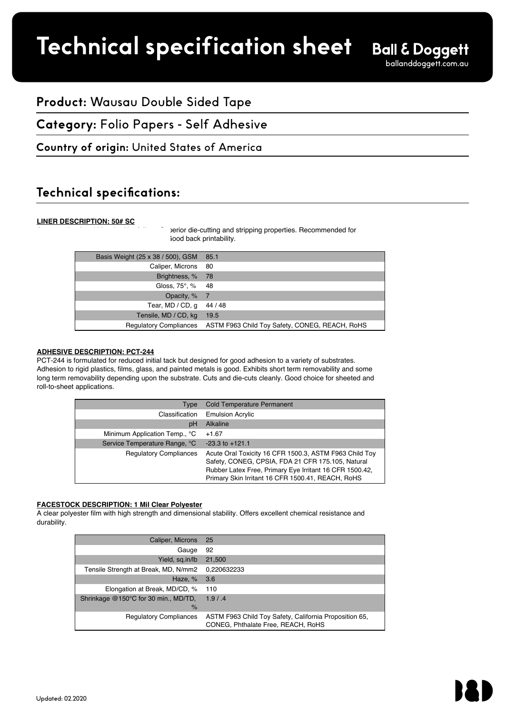# **Technical specification sheet**

Product Specification RFA #21042

## **Product:** Wausau Double Sided Tape

**Category:** Folio Papers - Self Adhesive

### **Country of origin: United States of America**

## **Technical specifications:**

#### **LINER DESCRIPTION: 50# SC**

berior die-cutting and stripping properties. Recommended for iood back printability.

| Basis Weight (25 x 38 / 500), GSM | 85.1                                                                  |
|-----------------------------------|-----------------------------------------------------------------------|
| Caliper, Microns                  | - 80                                                                  |
| Brightness, %                     | 78                                                                    |
| Gloss, 75°, % 48                  |                                                                       |
| Opacity, % 7                      |                                                                       |
| Tear, MD / CD, q                  | 44 / 48                                                               |
| Tensile, MD / CD, kg              | 19.5                                                                  |
|                                   | Regulatory Compliances ASTM F963 Child Toy Safety, CONEG, REACH, RoHS |

#### **ADHESIVE DESCRIPTION: PCT-244**

PCT-244 is formulated for reduced initial tack but designed for good adhesion to a variety of substrates. Adhesion to rigid plastics, films, glass, and painted metals is good. Exhibits short term removability and some long term removability depending upon the substrate. Cuts and die-cuts cleanly. Good choice for sheeted and roll-to-sheet applications.

| <b>Type</b>                   | <b>Cold Temperature Permanent</b>                                                                                                                                                                                           |
|-------------------------------|-----------------------------------------------------------------------------------------------------------------------------------------------------------------------------------------------------------------------------|
| Classification                | <b>Emulsion Acrylic</b>                                                                                                                                                                                                     |
| pH                            | <b>Alkaline</b>                                                                                                                                                                                                             |
| Minimum Application Temp., °C | $+1.67$                                                                                                                                                                                                                     |
| Service Temperature Range, °C | $-23.3$ to $+121.1$                                                                                                                                                                                                         |
| <b>Regulatory Compliances</b> | Acute Oral Toxicity 16 CFR 1500.3, ASTM F963 Child Toy<br>Safety, CONEG, CPSIA, FDA 21 CFR 175.105, Natural<br>Rubber Latex Free, Primary Eye Irritant 16 CFR 1500.42,<br>Primary Skin Irritant 16 CFR 1500.41, REACH, RoHS |

#### **FACESTOCK DESCRIPTION: 1 Mil Clear Polyester**

A clear polyester film with high strength and dimensional stability. Offers excellent chemical resistance and durability.

| Caliper, Microns                                      | - 25                                                                                         |
|-------------------------------------------------------|----------------------------------------------------------------------------------------------|
| Gauge                                                 | 92                                                                                           |
| Yield, sq.in/lb                                       | 21,500                                                                                       |
| Tensile Strength at Break, MD, N/mm2                  | 0,220632233                                                                                  |
| Haze, %                                               | 3.6                                                                                          |
| Elongation at Break, MD/CD, %                         | 110                                                                                          |
| Shrinkage @150°C for 30 min., MD/TD,<br>$\frac{9}{6}$ | 1.9 / .4                                                                                     |
| <b>Regulatory Compliances</b>                         | ASTM F963 Child Toy Safety, California Proposition 65,<br>CONEG, Phthalate Free, REACH, RoHS |